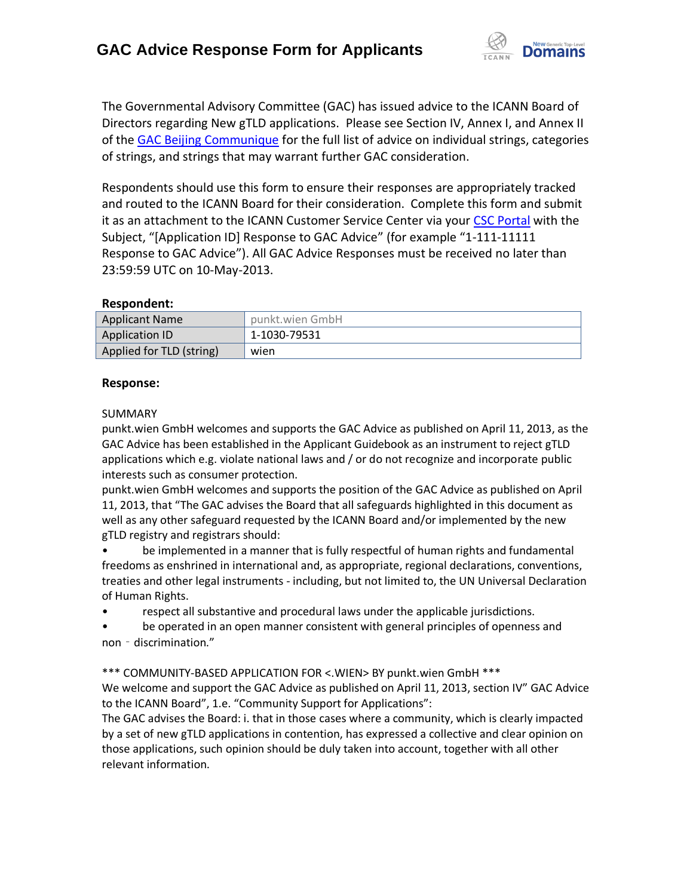

The Governmental Advisory Committee (GAC) has issued advice to the ICANN Board of Directors regarding New gTLD applications. Please see Section IV, Annex I, and Annex II of the [GAC Beijing Communique](http://www.icann.org/en/news/correspondence/gac-to-board-18apr13-en.pdf) for the full list of advice on individual strings, categories of strings, and strings that may warrant further GAC consideration.

Respondents should use this form to ensure their responses are appropriately tracked and routed to the ICANN Board for their consideration. Complete this form and submit it as an attachment to the ICANN Customer Service Center via your CSC [Portal](https://myicann.secure.force.com/) with the Subject, "[Application ID] Response to GAC Advice" (for example "1-111-11111 Response to GAC Advice"). All GAC Advice Responses must be received no later than 23:59:59 UTC on 10-May-2013.

#### **Respondent:**

| <b>Applicant Name</b>    | punkt.wien GmbH |
|--------------------------|-----------------|
| <b>Application ID</b>    | 1-1030-79531    |
| Applied for TLD (string) | wien            |

### **Response:**

#### SUMMARY

punkt.wien GmbH welcomes and supports the GAC Advice as published on April 11, 2013, as the GAC Advice has been established in the Applicant Guidebook as an instrument to reject gTLD applications which e.g. violate national laws and / or do not recognize and incorporate public interests such as consumer protection.

punkt.wien GmbH welcomes and supports the position of the GAC Advice as published on April 11, 2013, that "The GAC advises the Board that all safeguards highlighted in this document as well as any other safeguard requested by the ICANN Board and/or implemented by the new gTLD registry and registrars should:

• be implemented in a manner that is fully respectful of human rights and fundamental freedoms as enshrined in international and, as appropriate, regional declarations, conventions, treaties and other legal instruments - including, but not limited to, the UN Universal Declaration of Human Rights.

• respect all substantive and procedural laws under the applicable jurisdictions.

• be operated in an open manner consistent with general principles of openness and non - discrimination."

\*\*\* COMMUNITY-BASED APPLICATION FOR <.WIEN> BY punkt.wien GmbH \*\*\*

We welcome and support the GAC Advice as published on April 11, 2013, section IV" GAC Advice to the ICANN Board", 1.e. "Community Support for Applications":

The GAC advises the Board: i. that in those cases where a community, which is clearly impacted by a set of new gTLD applications in contention, has expressed a collective and clear opinion on those applications, such opinion should be duly taken into account, together with all other relevant information.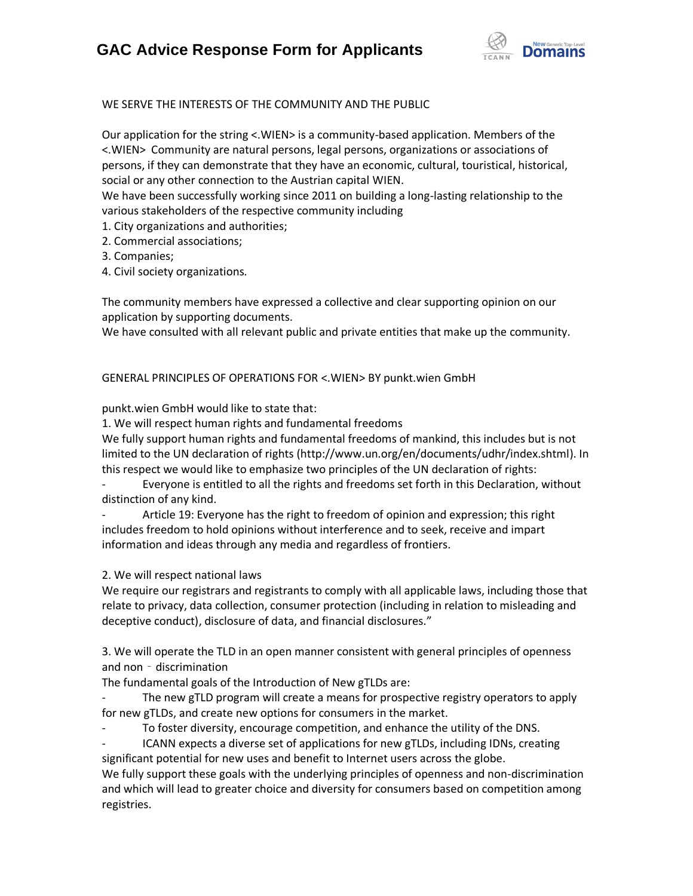# **GAC Advice Response Form for Applicants**



WE SERVE THE INTERESTS OF THE COMMUNITY AND THE PUBLIC

Our application for the string <.WIEN> is a community-based application. Members of the <.WIEN> Community are natural persons, legal persons, organizations or associations of persons, if they can demonstrate that they have an economic, cultural, touristical, historical, social or any other connection to the Austrian capital WIEN.

We have been successfully working since 2011 on building a long-lasting relationship to the various stakeholders of the respective community including

- 1. City organizations and authorities;
- 2. Commercial associations;
- 3. Companies;
- 4. Civil society organizations.

The community members have expressed a collective and clear supporting opinion on our application by supporting documents.

We have consulted with all relevant public and private entities that make up the community.

GENERAL PRINCIPLES OF OPERATIONS FOR <.WIEN> BY punkt.wien GmbH

punkt.wien GmbH would like to state that:

1. We will respect human rights and fundamental freedoms

We fully support human rights and fundamental freedoms of mankind, this includes but is not limited to the UN declaration of rights (http://www.un.org/en/documents/udhr/index.shtml). In this respect we would like to emphasize two principles of the UN declaration of rights:

- Everyone is entitled to all the rights and freedoms set forth in this Declaration, without distinction of any kind.

Article 19: Everyone has the right to freedom of opinion and expression; this right includes freedom to hold opinions without interference and to seek, receive and impart information and ideas through any media and regardless of frontiers.

2. We will respect national laws

We require our registrars and registrants to comply with all applicable laws, including those that relate to privacy, data collection, consumer protection (including in relation to misleading and deceptive conduct), disclosure of data, and financial disclosures."

3. We will operate the TLD in an open manner consistent with general principles of openness and non - discrimination

The fundamental goals of the Introduction of New gTLDs are:

The new gTLD program will create a means for prospective registry operators to apply for new gTLDs, and create new options for consumers in the market.

To foster diversity, encourage competition, and enhance the utility of the DNS.

- ICANN expects a diverse set of applications for new gTLDs, including IDNs, creating significant potential for new uses and benefit to Internet users across the globe.

We fully support these goals with the underlying principles of openness and non-discrimination and which will lead to greater choice and diversity for consumers based on competition among registries.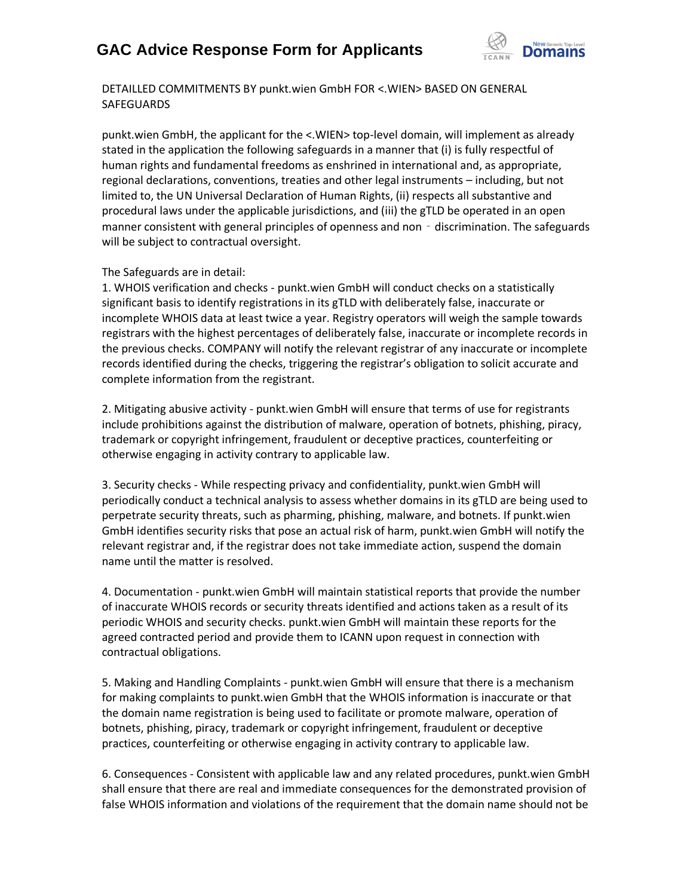## **GAC Advice Response Form for Applicants**



DETAILLED COMMITMENTS BY punkt.wien GmbH FOR <.WIEN> BASED ON GENERAL **SAFEGUARDS** 

punkt.wien GmbH, the applicant for the <.WIEN> top-level domain, will implement as already stated in the application the following safeguards in a manner that (i) is fully respectful of human rights and fundamental freedoms as enshrined in international and, as appropriate, regional declarations, conventions, treaties and other legal instruments – including, but not limited to, the UN Universal Declaration of Human Rights, (ii) respects all substantive and procedural laws under the applicable jurisdictions, and (iii) the gTLD be operated in an open manner consistent with general principles of openness and non  $-$  discrimination. The safeguards will be subject to contractual oversight.

The Safeguards are in detail:

1. WHOIS verification and checks - punkt.wien GmbH will conduct checks on a statistically significant basis to identify registrations in its gTLD with deliberately false, inaccurate or incomplete WHOIS data at least twice a year. Registry operators will weigh the sample towards registrars with the highest percentages of deliberately false, inaccurate or incomplete records in the previous checks. COMPANY will notify the relevant registrar of any inaccurate or incomplete records identified during the checks, triggering the registrar's obligation to solicit accurate and complete information from the registrant.

2. Mitigating abusive activity - punkt.wien GmbH will ensure that terms of use for registrants include prohibitions against the distribution of malware, operation of botnets, phishing, piracy, trademark or copyright infringement, fraudulent or deceptive practices, counterfeiting or otherwise engaging in activity contrary to applicable law.

3. Security checks - While respecting privacy and confidentiality, punkt.wien GmbH will periodically conduct a technical analysis to assess whether domains in its gTLD are being used to perpetrate security threats, such as pharming, phishing, malware, and botnets. If punkt.wien GmbH identifies security risks that pose an actual risk of harm, punkt.wien GmbH will notify the relevant registrar and, if the registrar does not take immediate action, suspend the domain name until the matter is resolved.

4. Documentation - punkt.wien GmbH will maintain statistical reports that provide the number of inaccurate WHOIS records or security threats identified and actions taken as a result of its periodic WHOIS and security checks. punkt.wien GmbH will maintain these reports for the agreed contracted period and provide them to ICANN upon request in connection with contractual obligations.

5. Making and Handling Complaints - punkt.wien GmbH will ensure that there is a mechanism for making complaints to punkt.wien GmbH that the WHOIS information is inaccurate or that the domain name registration is being used to facilitate or promote malware, operation of botnets, phishing, piracy, trademark or copyright infringement, fraudulent or deceptive practices, counterfeiting or otherwise engaging in activity contrary to applicable law.

6. Consequences - Consistent with applicable law and any related procedures, punkt.wien GmbH shall ensure that there are real and immediate consequences for the demonstrated provision of false WHOIS information and violations of the requirement that the domain name should not be